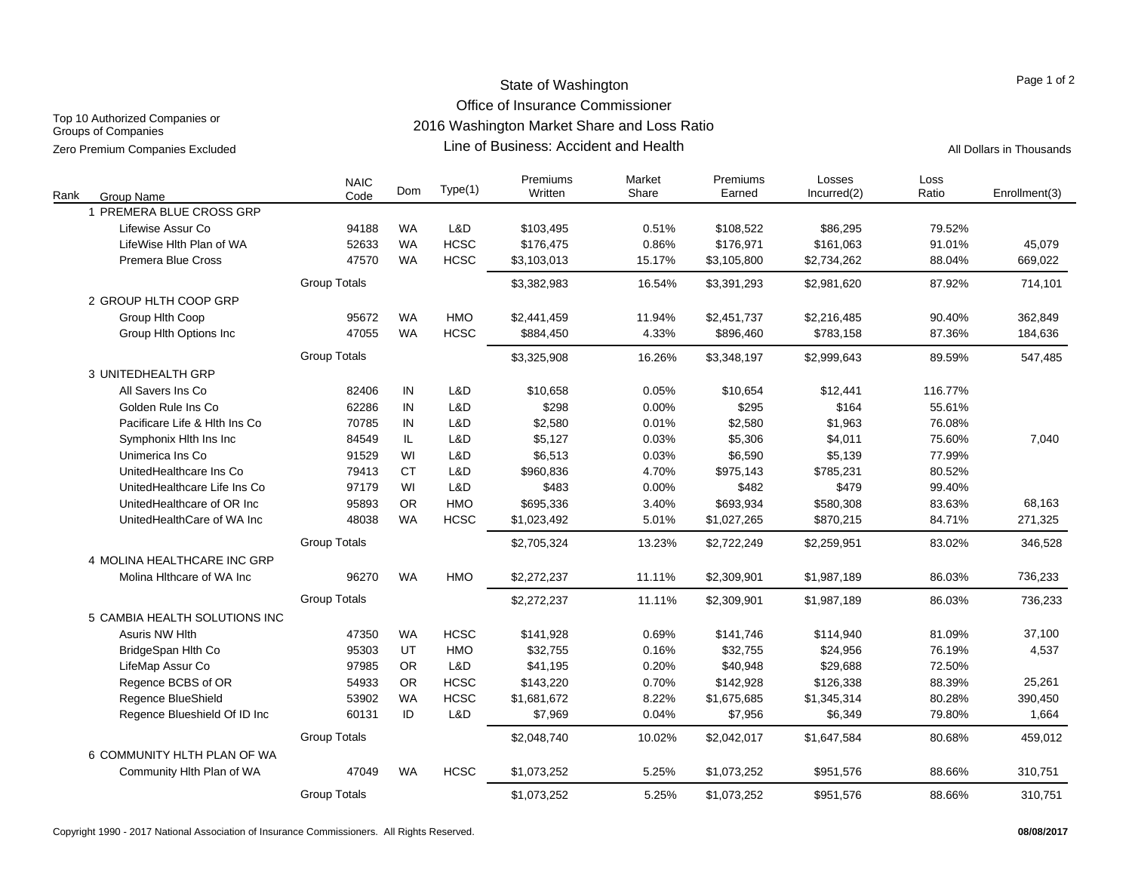# State of Washington Office of Insurance Commissioner

Top 10 Authorized Companies or Groups of Companies Zero Premium Companies Excluded **All Dollars in Thousands Line of Business: Accident and Health** All Dollars in Thousands

2016 Washington Market Share and Loss Ratio

Line of Business: Accident and Health

| Rank<br>Group Name            | <b>NAIC</b><br>Code | Dom       | Type(1)     | Premiums<br>Written | Market<br>Share | Premiums<br>Earned | Losses<br>Incurred(2) | Loss<br>Ratio | Enrollment(3) |
|-------------------------------|---------------------|-----------|-------------|---------------------|-----------------|--------------------|-----------------------|---------------|---------------|
| 1 PREMERA BLUE CROSS GRP      |                     |           |             |                     |                 |                    |                       |               |               |
| Lifewise Assur Co             | 94188               | <b>WA</b> | L&D         | \$103,495           | 0.51%           | \$108,522          | \$86,295              | 79.52%        |               |
| LifeWise Hlth Plan of WA      | 52633               | <b>WA</b> | <b>HCSC</b> | \$176,475           | 0.86%           | \$176,971          | \$161,063             | 91.01%        | 45,079        |
| <b>Premera Blue Cross</b>     | 47570               | <b>WA</b> | <b>HCSC</b> | \$3,103,013         | 15.17%          | \$3,105,800        | \$2,734,262           | 88.04%        | 669,022       |
|                               | <b>Group Totals</b> |           |             | \$3,382,983         | 16.54%          | \$3,391,293        | \$2,981,620           | 87.92%        | 714,101       |
| 2 GROUP HLTH COOP GRP         |                     |           |             |                     |                 |                    |                       |               |               |
| Group Hith Coop               | 95672               | <b>WA</b> | <b>HMO</b>  | \$2,441,459         | 11.94%          | \$2,451,737        | \$2,216,485           | 90.40%        | 362,849       |
| Group Hith Options Inc        | 47055               | <b>WA</b> | <b>HCSC</b> | \$884,450           | 4.33%           | \$896,460          | \$783,158             | 87.36%        | 184,636       |
|                               | <b>Group Totals</b> |           |             | \$3,325,908         | 16.26%          | \$3,348,197        | \$2,999,643           | 89.59%        | 547,485       |
| 3 UNITEDHEALTH GRP            |                     |           |             |                     |                 |                    |                       |               |               |
| All Savers Ins Co             | 82406               | IN        | L&D         | \$10,658            | 0.05%           | \$10,654           | \$12,441              | 116.77%       |               |
| Golden Rule Ins Co            | 62286               | IN        | L&D         | \$298               | 0.00%           | \$295              | \$164                 | 55.61%        |               |
| Pacificare Life & Hith Ins Co | 70785               | IN        | L&D         | \$2,580             | 0.01%           | \$2,580            | \$1,963               | 76.08%        |               |
| Symphonix Hlth Ins Inc        | 84549               | IL        | L&D         | \$5,127             | 0.03%           | \$5,306            | \$4,011               | 75.60%        | 7,040         |
| Unimerica Ins Co              | 91529               | WI        | L&D         | \$6,513             | 0.03%           | \$6,590            | \$5,139               | 77.99%        |               |
| UnitedHealthcare Ins Co       | 79413               | <b>CT</b> | L&D         | \$960,836           | 4.70%           | \$975,143          | \$785,231             | 80.52%        |               |
| UnitedHealthcare Life Ins Co  | 97179               | WI        | L&D         | \$483               | 0.00%           | \$482              | \$479                 | 99.40%        |               |
| UnitedHealthcare of OR Inc    | 95893               | <b>OR</b> | <b>HMO</b>  | \$695,336           | 3.40%           | \$693,934          | \$580,308             | 83.63%        | 68,163        |
| UnitedHealthCare of WA Inc    | 48038               | <b>WA</b> | <b>HCSC</b> | \$1,023,492         | 5.01%           | \$1,027,265        | \$870,215             | 84.71%        | 271,325       |
|                               | <b>Group Totals</b> |           |             | \$2,705,324         | 13.23%          | \$2,722,249        | \$2,259,951           | 83.02%        | 346,528       |
| 4 MOLINA HEALTHCARE INC GRP   |                     |           |             |                     |                 |                    |                       |               |               |
| Molina Hithcare of WA Inc     | 96270               | <b>WA</b> | <b>HMO</b>  | \$2,272,237         | 11.11%          | \$2,309,901        | \$1,987,189           | 86.03%        | 736,233       |
|                               | <b>Group Totals</b> |           |             | \$2,272,237         | 11.11%          | \$2,309,901        | \$1,987,189           | 86.03%        | 736,233       |
| 5 CAMBIA HEALTH SOLUTIONS INC |                     |           |             |                     |                 |                    |                       |               |               |
| <b>Asuris NW Hlth</b>         | 47350               | <b>WA</b> | <b>HCSC</b> | \$141,928           | 0.69%           | \$141,746          | \$114,940             | 81.09%        | 37,100        |
| BridgeSpan Hlth Co            | 95303               | UT        | <b>HMO</b>  | \$32,755            | 0.16%           | \$32,755           | \$24,956              | 76.19%        | 4,537         |
| LifeMap Assur Co              | 97985               | <b>OR</b> | L&D         | \$41,195            | 0.20%           | \$40,948           | \$29,688              | 72.50%        |               |
| Regence BCBS of OR            | 54933               | <b>OR</b> | <b>HCSC</b> | \$143,220           | 0.70%           | \$142,928          | \$126,338             | 88.39%        | 25,261        |
| Regence BlueShield            | 53902               | <b>WA</b> | <b>HCSC</b> | \$1,681,672         | 8.22%           | \$1,675,685        | \$1,345,314           | 80.28%        | 390,450       |
| Regence Blueshield Of ID Inc  | 60131               | ID        | L&D         | \$7,969             | 0.04%           | \$7,956            | \$6,349               | 79.80%        | 1,664         |
|                               | <b>Group Totals</b> |           |             | \$2,048,740         | 10.02%          | \$2,042,017        | \$1,647,584           | 80.68%        | 459,012       |
| 6 COMMUNITY HLTH PLAN OF WA   |                     |           |             |                     |                 |                    |                       |               |               |
| Community Hlth Plan of WA     | 47049               | <b>WA</b> | <b>HCSC</b> | \$1,073,252         | 5.25%           | \$1,073,252        | \$951,576             | 88.66%        | 310,751       |
|                               | <b>Group Totals</b> |           |             | \$1,073,252         | 5.25%           | \$1,073,252        | \$951,576             | 88.66%        | 310,751       |

Page 1 of 2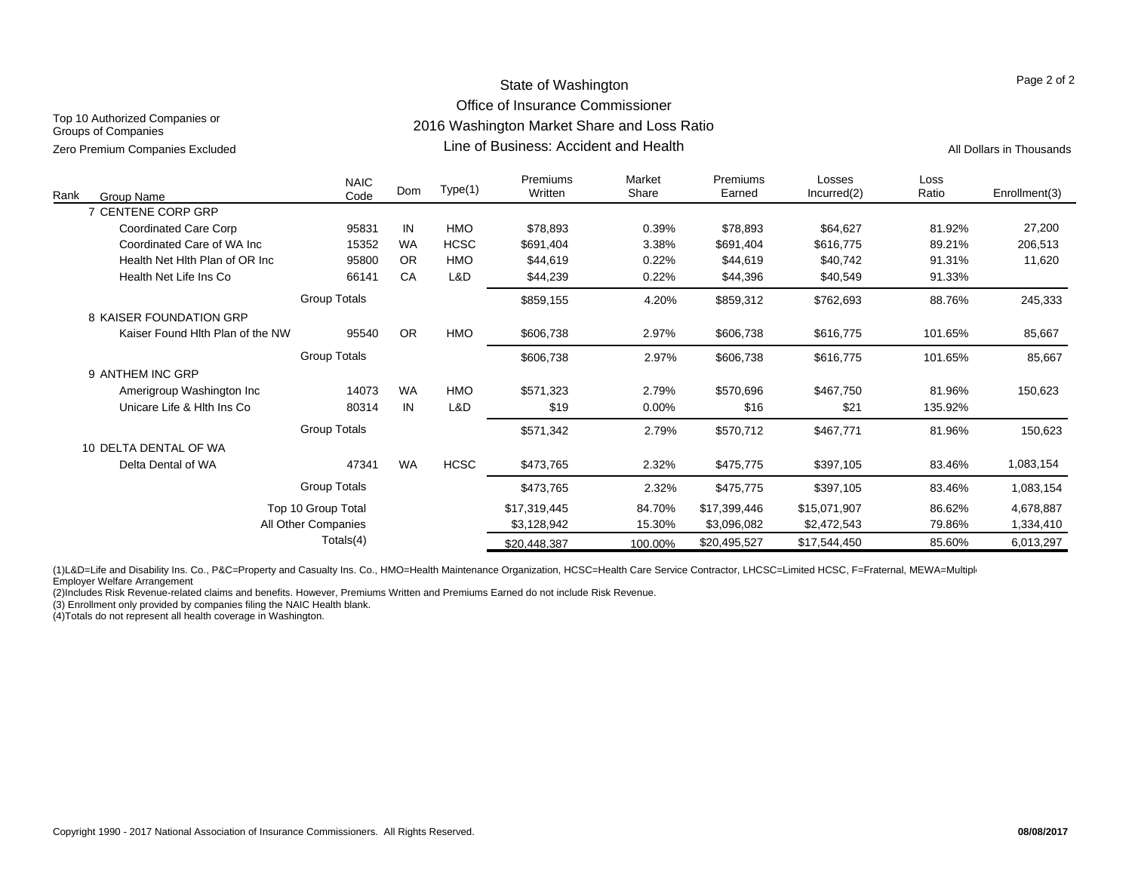# State of Washington Office of Insurance Commissioner 2016 Washington Market Share and Loss Ratio

Top 10 Authorized Companies or Groups of Companies Zero Premium Companies Excluded **All Dollars in Thousands** Circle All Dollars in Thousands Circle All Dollars in Thousands

Line of Business: Accident and Health

Page 2 of 2

| Rank | Group Name                       | <b>NAIC</b><br>Code | Dom       | Type(1)     | Premiums<br>Written | Market<br>Share | Premiums<br>Earned | Losses<br>Incurred(2) | Loss<br>Ratio | Enrollment(3) |
|------|----------------------------------|---------------------|-----------|-------------|---------------------|-----------------|--------------------|-----------------------|---------------|---------------|
|      | 7 CENTENE CORP GRP               |                     |           |             |                     |                 |                    |                       |               |               |
|      | <b>Coordinated Care Corp</b>     | 95831               | IN        | <b>HMO</b>  | \$78,893            | 0.39%           | \$78,893           | \$64,627              | 81.92%        | 27,200        |
|      | Coordinated Care of WA Inc.      | 15352               | <b>WA</b> | <b>HCSC</b> | \$691,404           | 3.38%           | \$691,404          | \$616,775             | 89.21%        | 206,513       |
|      | Health Net Hith Plan of OR Inc.  | 95800               | <b>OR</b> | <b>HMO</b>  | \$44,619            | 0.22%           | \$44,619           | \$40,742              | 91.31%        | 11,620        |
|      | Health Net Life Ins Co           | 66141               | CA        | L&D         | \$44,239            | 0.22%           | \$44,396           | \$40,549              | 91.33%        |               |
|      |                                  | <b>Group Totals</b> |           |             | \$859,155           | 4.20%           | \$859,312          | \$762,693             | 88.76%        | 245,333       |
|      | 8 KAISER FOUNDATION GRP          |                     |           |             |                     |                 |                    |                       |               |               |
|      | Kaiser Found Hith Plan of the NW | 95540               | <b>OR</b> | HMO         | \$606,738           | 2.97%           | \$606,738          | \$616,775             | 101.65%       | 85,667        |
|      |                                  | <b>Group Totals</b> |           |             | \$606,738           | 2.97%           | \$606,738          | \$616,775             | 101.65%       | 85,667        |
|      | 9 ANTHEM INC GRP                 |                     |           |             |                     |                 |                    |                       |               |               |
|      | Amerigroup Washington Inc        | 14073               | <b>WA</b> | <b>HMO</b>  | \$571,323           | 2.79%           | \$570,696          | \$467,750             | 81.96%        | 150,623       |
|      | Unicare Life & Hith Ins Co       | 80314               | IN        | L&D         | \$19                | $0.00\%$        | \$16               | \$21                  | 135.92%       |               |
|      |                                  | Group Totals        |           |             | \$571,342           | 2.79%           | \$570,712          | \$467,771             | 81.96%        | 150,623       |
|      | 10 DELTA DENTAL OF WA            |                     |           |             |                     |                 |                    |                       |               |               |
|      | Delta Dental of WA               | 47341               | <b>WA</b> | <b>HCSC</b> | \$473,765           | 2.32%           | \$475,775          | \$397,105             | 83.46%        | 1,083,154     |
|      |                                  | Group Totals        |           |             | \$473,765           | 2.32%           | \$475,775          | \$397,105             | 83.46%        | 1,083,154     |
|      |                                  | Top 10 Group Total  |           |             | \$17,319,445        | 84.70%          | \$17,399,446       | \$15,071,907          | 86.62%        | 4,678,887     |
|      |                                  | All Other Companies |           |             | \$3,128,942         | 15.30%          | \$3,096,082        | \$2,472,543           | 79.86%        | 1,334,410     |
|      |                                  | Totals(4)           |           |             | \$20,448,387        | 100.00%         | \$20,495,527       | \$17,544,450          | 85.60%        | 6,013,297     |

(1)L&D=Life and Disability Ins. Co., P&C=Property and Casualty Ins. Co., HMO=Health Maintenance Organization, HCSC=Health Care Service Contractor, LHCSC=Limited HCSC, F=Fraternal, MEWA=Multiple Employer Welfare Arrangement

(2)Includes Risk Revenue-related claims and benefits. However, Premiums Written and Premiums Earned do not include Risk Revenue.

(3) Enrollment only provided by companies filing the NAIC Health blank.

(4)Totals do not represent all health coverage in Washington.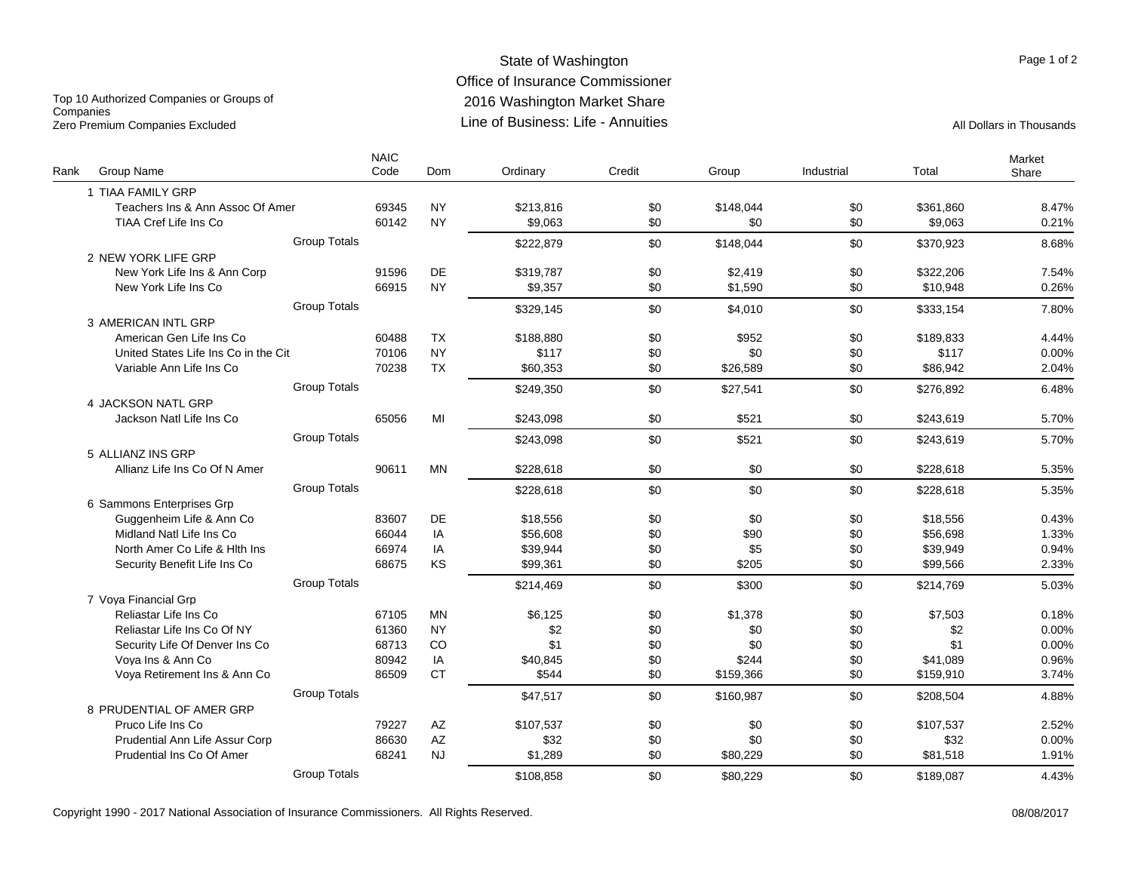# State of Washington Office of Insurance Commissioner 2016 Washington Market Share Line of Business: Life - Annuities

Top 10 Authorized Companies or Groups of **Companies** Zero Premium Companies Excluded **All Dollars in Thousands** Line of Business: Life - Annuities All Dollars in Thousands

|      |                                      | <b>NAIC</b> |                        |           |        |           |            |           | Market |
|------|--------------------------------------|-------------|------------------------|-----------|--------|-----------|------------|-----------|--------|
| Rank | Group Name                           | Code        | Dom                    | Ordinary  | Credit | Group     | Industrial | Total     | Share  |
|      | 1 TIAA FAMILY GRP                    |             |                        |           |        |           |            |           |        |
|      | Teachers Ins & Ann Assoc Of Amer     | 69345       | <b>NY</b>              | \$213,816 | \$0    | \$148,044 | \$0        | \$361,860 | 8.47%  |
|      | TIAA Cref Life Ins Co                | 60142       | <b>NY</b>              | \$9,063   | \$0    | \$0       | \$0        | \$9,063   | 0.21%  |
|      | <b>Group Totals</b>                  |             |                        | \$222,879 | \$0    | \$148,044 | \$0        | \$370,923 | 8.68%  |
|      | 2 NEW YORK LIFE GRP                  |             |                        |           |        |           |            |           |        |
|      | New York Life Ins & Ann Corp         | 91596       | <b>DE</b>              | \$319.787 | \$0    | \$2,419   | \$0        | \$322,206 | 7.54%  |
|      | New York Life Ins Co                 | 66915       | <b>NY</b>              | \$9,357   | \$0    | \$1,590   | \$0        | \$10,948  | 0.26%  |
|      | <b>Group Totals</b>                  |             |                        | \$329,145 | \$0    | \$4,010   | \$0        | \$333,154 | 7.80%  |
|      | 3 AMERICAN INTL GRP                  |             |                        |           |        |           |            |           |        |
|      | American Gen Life Ins Co             | 60488       | <b>TX</b>              | \$188.880 | \$0    | \$952     | \$0        | \$189.833 | 4.44%  |
|      | United States Life Ins Co in the Cit | 70106       | <b>NY</b>              | \$117     | \$0    | \$0       | \$0        | \$117     | 0.00%  |
|      | Variable Ann Life Ins Co             | 70238       | TX                     | \$60,353  | \$0    | \$26,589  | \$0        | \$86,942  | 2.04%  |
|      | <b>Group Totals</b>                  |             |                        | \$249,350 | \$0    | \$27,541  | \$0        | \$276,892 | 6.48%  |
|      | 4 JACKSON NATL GRP                   |             |                        |           |        |           |            |           |        |
|      | Jackson Natl Life Ins Co             | 65056       | MI                     | \$243,098 | \$0    | \$521     | \$0        | \$243,619 | 5.70%  |
|      | <b>Group Totals</b>                  |             |                        | \$243,098 | \$0    | \$521     | \$0        | \$243,619 | 5.70%  |
|      | 5 ALLIANZ INS GRP                    |             |                        |           |        |           |            |           |        |
|      | Allianz Life Ins Co Of N Amer        | 90611       | <b>MN</b>              | \$228.618 | \$0    | \$0       | \$0        | \$228,618 | 5.35%  |
|      | <b>Group Totals</b>                  |             |                        | \$228.618 | \$0    | \$0       | \$0        | \$228.618 | 5.35%  |
|      | 6 Sammons Enterprises Grp            |             |                        |           |        |           |            |           |        |
|      | Guggenheim Life & Ann Co             | 83607       | DE                     | \$18,556  | \$0    | \$0       | \$0        | \$18,556  | 0.43%  |
|      | Midland Natl Life Ins Co             | 66044       | IA                     | \$56,608  | \$0    | \$90      | \$0        | \$56,698  | 1.33%  |
|      | North Amer Co Life & Hith Ins        | 66974       | IA                     | \$39,944  | \$0    | \$5       | \$0        | \$39,949  | 0.94%  |
|      | Security Benefit Life Ins Co         | 68675       | KS                     | \$99.361  | \$0    | \$205     | \$0        | \$99.566  | 2.33%  |
|      | <b>Group Totals</b>                  |             |                        | \$214,469 | \$0    | \$300     | \$0        | \$214,769 | 5.03%  |
|      | 7 Vova Financial Gro                 |             |                        |           |        |           |            |           |        |
|      | Reliastar Life Ins Co                | 67105       | <b>MN</b>              | \$6,125   | \$0    | \$1,378   | \$0        | \$7,503   | 0.18%  |
|      | Reliastar Life Ins Co Of NY          | 61360       | <b>NY</b>              | \$2       | \$0    | \$0       | \$0        | \$2       | 0.00%  |
|      | Security Life Of Denver Ins Co       | 68713       | CO                     | \$1       | \$0    | \$0       | \$0        | \$1       | 0.00%  |
|      | Voya Ins & Ann Co                    | 80942       | IA                     | \$40,845  | \$0    | \$244     | \$0        | \$41,089  | 0.96%  |
|      | Voya Retirement Ins & Ann Co         | 86509       | <b>CT</b>              | \$544     | \$0    | \$159,366 | \$0        | \$159,910 | 3.74%  |
|      | <b>Group Totals</b>                  |             |                        | \$47,517  | \$0    | \$160,987 | \$0        | \$208,504 | 4.88%  |
|      | 8 PRUDENTIAL OF AMER GRP             |             |                        |           |        |           |            |           |        |
|      | Pruco Life Ins Co                    | 79227       | AZ                     | \$107,537 | \$0    | \$0       | \$0        | \$107,537 | 2.52%  |
|      | Prudential Ann Life Assur Corp       | 86630       | $\mathsf{A}\mathsf{Z}$ | \$32      | \$0    | \$0       | \$0        | \$32      | 0.00%  |
|      | Prudential Ins Co Of Amer            | 68241       | <b>NJ</b>              | \$1,289   | \$0    | \$80,229  | \$0        | \$81,518  | 1.91%  |
|      | <b>Group Totals</b>                  |             |                        | \$108,858 | \$0    | \$80,229  | \$0        | \$189,087 | 4.43%  |

Page 1 of 2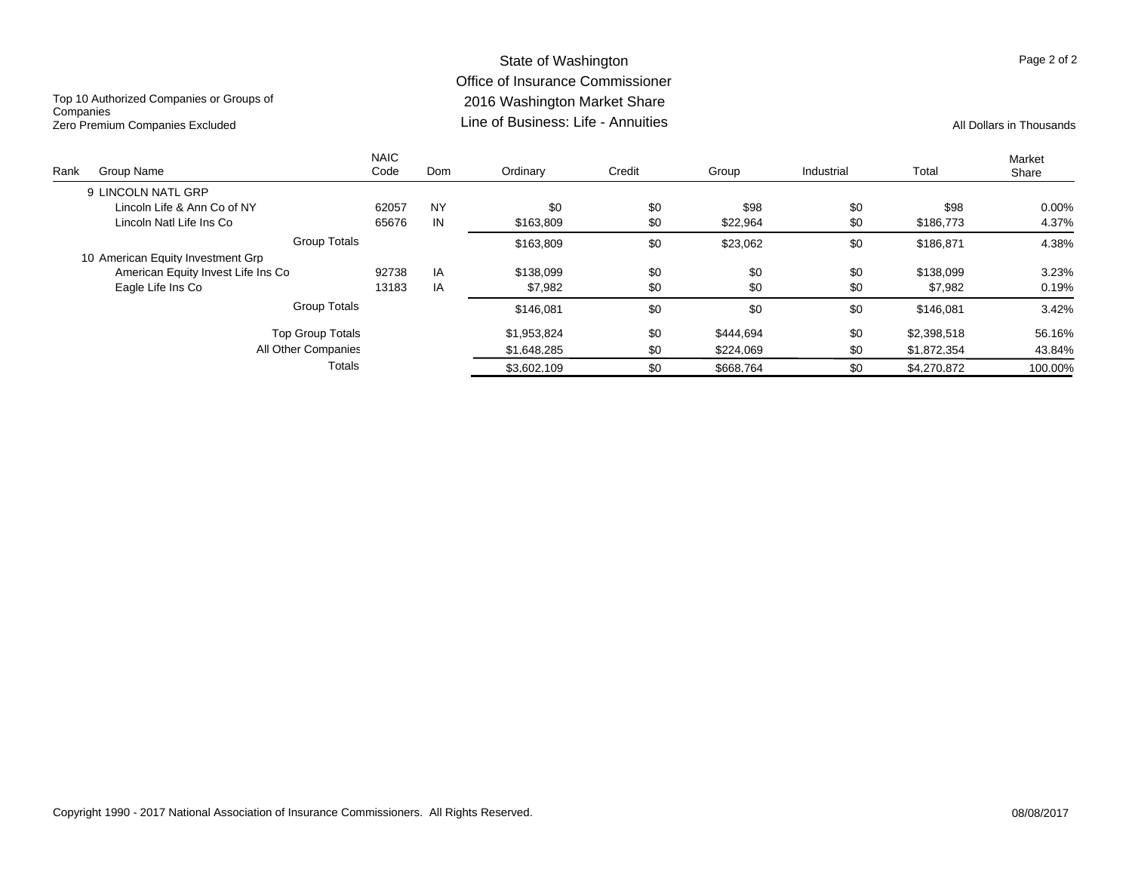#### State of Washington Office of Insurance Commissioner 2016 Washington Market Share Line of Business: Life - AnnuitiesZero Premium Companies Excluded **All Dollars in Thousands** Line of Business: Life - Annuities All Dollars in Thousands

Top 10 Authorized Companies or Groups of **Companies** 

| Rank | Group Name                         | <b>NAIC</b><br>Code | Dom       | Ordinary    | Credit | Group     | Industrial | Total       | Market<br>Share |
|------|------------------------------------|---------------------|-----------|-------------|--------|-----------|------------|-------------|-----------------|
|      | 9 LINCOLN NATL GRP                 |                     |           |             |        |           |            |             |                 |
|      | Lincoln Life & Ann Co of NY        | 62057               | <b>NY</b> | \$0         | \$0    | \$98      | \$0        | \$98        | 0.00%           |
|      | Lincoln Natl Life Ins Co           | 65676               | IN        | \$163,809   | \$0    | \$22,964  | \$0        | \$186,773   | 4.37%           |
|      | <b>Group Totals</b>                |                     |           | \$163.809   | \$0    | \$23.062  | \$0        | \$186.871   | 4.38%           |
|      | 10 American Equity Investment Grp  |                     |           |             |        |           |            |             |                 |
|      | American Equity Invest Life Ins Co | 92738               | IA        | \$138,099   | \$0    | \$0       | \$0        | \$138,099   | 3.23%           |
|      | Eagle Life Ins Co                  | 13183               | IA        | \$7,982     | \$0    | \$0       | \$0        | \$7,982     | 0.19%           |
|      | <b>Group Totals</b>                |                     |           | \$146.081   | \$0    | \$0       | \$0        | \$146.081   | 3.42%           |
|      | <b>Top Group Totals</b>            |                     |           | \$1.953.824 | \$0    | \$444.694 | \$0        | \$2,398,518 | 56.16%          |
|      | All Other Companies                |                     |           | \$1,648,285 | \$0    | \$224.069 | \$0        | \$1,872,354 | 43.84%          |
|      | Totals                             |                     |           | \$3,602,109 | \$0    | \$668.764 | \$0        | \$4,270,872 | 100.00%         |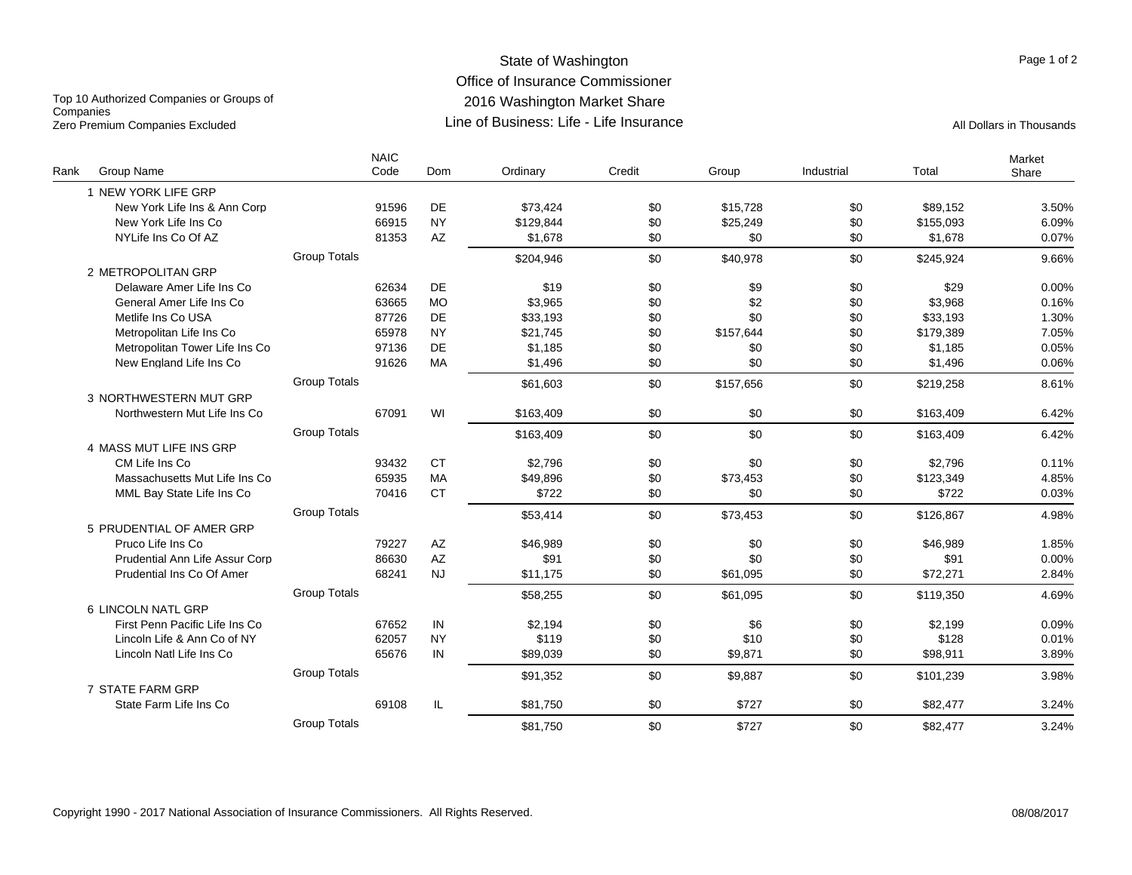#### State of Washington Office of Insurance Commissioner 2016 Washington Market Share Line of Business: Life - Life InsuranceZero Premium Companies Excluded **All Dollars in Thousands** Line of Business: Life - Life Insurance

Top 10 Authorized Companies or Groups of **Companies** 

|      |                                |                     | <b>NAIC</b><br>Code | Dom       | Ordinary  | Credit |           | Industrial | Total     | Market |
|------|--------------------------------|---------------------|---------------------|-----------|-----------|--------|-----------|------------|-----------|--------|
| Rank | Group Name                     |                     |                     |           |           |        | Group     |            |           | Share  |
|      | 1 NEW YORK LIFE GRP            |                     |                     |           |           |        |           |            |           |        |
|      | New York Life Ins & Ann Corp   |                     | 91596               | DE        | \$73,424  | \$0    | \$15,728  | \$0        | \$89,152  | 3.50%  |
|      | New York Life Ins Co           |                     | 66915               | <b>NY</b> | \$129.844 | \$0    | \$25,249  | \$0        | \$155.093 | 6.09%  |
|      | NYLife Ins Co Of AZ            |                     | 81353               | AZ        | \$1,678   | \$0    | \$0       | \$0        | \$1,678   | 0.07%  |
|      |                                | <b>Group Totals</b> |                     |           | \$204.946 | \$0    | \$40,978  | \$0        | \$245.924 | 9.66%  |
|      | 2 METROPOLITAN GRP             |                     |                     |           |           |        |           |            |           |        |
|      | Delaware Amer Life Ins Co      |                     | 62634               | DE        | \$19      | \$0    | \$9       | \$0        | \$29      | 0.00%  |
|      | General Amer Life Ins Co       |                     | 63665               | <b>MO</b> | \$3,965   | \$0    | \$2       | \$0        | \$3,968   | 0.16%  |
|      | Metlife Ins Co USA             |                     | 87726               | DE        | \$33,193  | \$0    | \$0       | \$0        | \$33,193  | 1.30%  |
|      | Metropolitan Life Ins Co       |                     | 65978               | <b>NY</b> | \$21.745  | \$0    | \$157,644 | \$0        | \$179,389 | 7.05%  |
|      | Metropolitan Tower Life Ins Co |                     | 97136               | DE        | \$1,185   | \$0    | \$0       | \$0        | \$1,185   | 0.05%  |
|      | New England Life Ins Co        |                     | 91626               | <b>MA</b> | \$1.496   | \$0    | \$0       | \$0        | \$1,496   | 0.06%  |
|      |                                | <b>Group Totals</b> |                     |           | \$61,603  | \$0    | \$157,656 | \$0        | \$219,258 | 8.61%  |
|      | 3 NORTHWESTERN MUT GRP         |                     |                     |           |           |        |           |            |           |        |
|      | Northwestern Mut Life Ins Co   |                     | 67091               | WI        | \$163,409 | \$0    | \$0       | \$0        | \$163,409 | 6.42%  |
|      |                                | <b>Group Totals</b> |                     |           | \$163,409 | \$0    | \$0       | \$0        | \$163,409 | 6.42%  |
|      | 4 MASS MUT LIFE INS GRP        |                     |                     |           |           |        |           |            |           |        |
|      | CM Life Ins Co                 |                     | 93432               | <b>CT</b> | \$2.796   | \$0    | \$0       | \$0        | \$2,796   | 0.11%  |
|      | Massachusetts Mut Life Ins Co  |                     | 65935               | <b>MA</b> | \$49,896  | \$0    | \$73,453  | \$0        | \$123,349 | 4.85%  |
|      | MML Bay State Life Ins Co      |                     | 70416               | <b>CT</b> | \$722     | \$0    | \$0       | \$0        | \$722     | 0.03%  |
|      |                                | <b>Group Totals</b> |                     |           | \$53,414  | \$0    | \$73,453  | \$0        | \$126,867 | 4.98%  |
|      | 5 PRUDENTIAL OF AMER GRP       |                     |                     |           |           |        |           |            |           |        |
|      | Pruco Life Ins Co              |                     | 79227               | AZ        | \$46,989  | \$0    | \$0       | \$0        | \$46,989  | 1.85%  |
|      | Prudential Ann Life Assur Corp |                     | 86630               | AZ        | \$91      | \$0    | \$0       | \$0        | \$91      | 0.00%  |
|      | Prudential Ins Co Of Amer      |                     | 68241               | <b>NJ</b> | \$11,175  | \$0    | \$61,095  | \$0        | \$72,271  | 2.84%  |
|      |                                | <b>Group Totals</b> |                     |           | \$58,255  | \$0    | \$61,095  | \$0        | \$119,350 | 4.69%  |
|      | 6 LINCOLN NATL GRP             |                     |                     |           |           |        |           |            |           |        |
|      | First Penn Pacific Life Ins Co |                     | 67652               | IN        | \$2,194   | \$0    | \$6       | \$0        | \$2,199   | 0.09%  |
|      | Lincoln Life & Ann Co of NY    |                     | 62057               | <b>NY</b> | \$119     | \$0    | \$10      | \$0        | \$128     | 0.01%  |
|      | Lincoln Natl Life Ins Co       |                     | 65676               | IN        | \$89,039  | \$0    | \$9,871   | \$0        | \$98,911  | 3.89%  |
|      |                                | <b>Group Totals</b> |                     |           | \$91,352  | \$0    | \$9,887   | \$0        | \$101,239 | 3.98%  |
|      | 7 STATE FARM GRP               |                     |                     |           |           |        |           |            |           |        |
|      | State Farm Life Ins Co         |                     | 69108               | IL        | \$81.750  | \$0    | \$727     | \$0        | \$82,477  | 3.24%  |
|      |                                | <b>Group Totals</b> |                     |           | \$81,750  | \$0    | \$727     | \$0        | \$82,477  | 3.24%  |
|      |                                |                     |                     |           |           |        |           |            |           |        |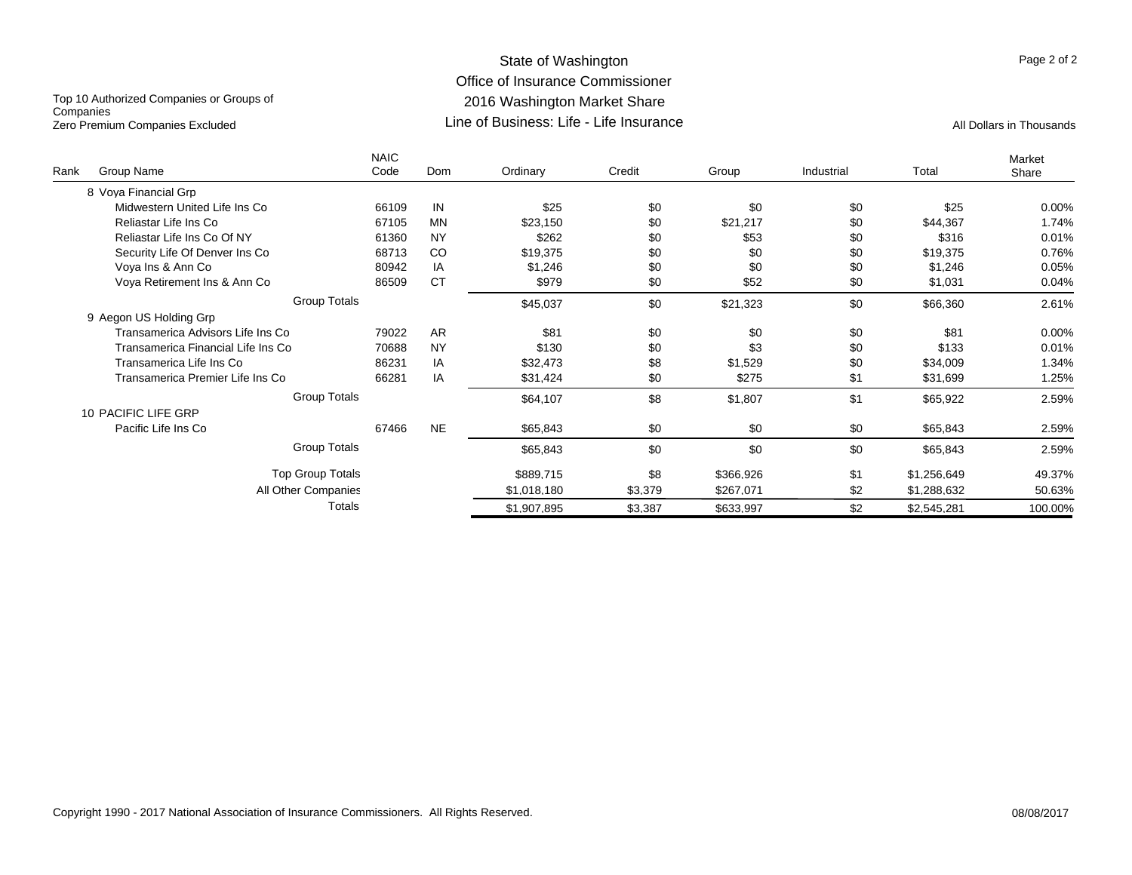#### State of Washington Office of Insurance Commissioner 2016 Washington Market Share Line of Business: Life - Life InsuranceZero Premium Companies Excluded **All Dollars in Thousands** Line of Business: Life - Life Insurance

Top 10 Authorized Companies or Groups of **Companies** 

| Rank | Group Name                         | <b>NAIC</b><br>Code | Dom       | Ordinary    | Credit  | Group     | Industrial | Total       | Market<br>Share |
|------|------------------------------------|---------------------|-----------|-------------|---------|-----------|------------|-------------|-----------------|
|      | 8 Vova Financial Gro               |                     |           |             |         |           |            |             |                 |
|      | Midwestern United Life Ins Co.     | 66109               | IN        | \$25        | \$0     | \$0       | \$0        | \$25        | 0.00%           |
|      | Reliastar Life Ins Co              | 67105               | <b>MN</b> | \$23,150    | \$0     | \$21,217  | \$0        | \$44,367    | 1.74%           |
|      | Reliastar Life Ins Co Of NY        | 61360               | <b>NY</b> | \$262       | \$0     | \$53      | \$0        | \$316       | 0.01%           |
|      | Security Life Of Denver Ins Co     | 68713               | CO        | \$19,375    | \$0     | \$0       | \$0        | \$19,375    | 0.76%           |
|      | Vova Ins & Ann Co                  | 80942               | IA        | \$1,246     | \$0     | \$0       | \$0        | \$1,246     | 0.05%           |
|      | Voya Retirement Ins & Ann Co.      | 86509               | <b>CT</b> | \$979       | \$0     | \$52      | \$0        | \$1,031     | 0.04%           |
|      | <b>Group Totals</b>                |                     |           | \$45,037    | \$0     | \$21,323  | \$0        | \$66,360    | 2.61%           |
|      | 9 Aegon US Holding Grp             |                     |           |             |         |           |            |             |                 |
|      | Transamerica Advisors Life Ins Co  | 79022               | <b>AR</b> | \$81        | \$0     | \$0       | \$0        | \$81        | 0.00%           |
|      | Transamerica Financial Life Ins Co | 70688               | <b>NY</b> | \$130       | \$0     | \$3       | \$0        | \$133       | 0.01%           |
|      | Transamerica Life Ins Co           | 86231               | IA        | \$32,473    | \$8     | \$1,529   | \$0        | \$34,009    | 1.34%           |
|      | Transamerica Premier Life Ins Co   | 66281               | IA        | \$31,424    | \$0     | \$275     | \$1        | \$31,699    | 1.25%           |
|      | <b>Group Totals</b>                |                     |           | \$64,107    | \$8     | \$1,807   | \$1        | \$65,922    | 2.59%           |
|      | 10 PACIFIC LIFE GRP                |                     |           |             |         |           |            |             |                 |
|      | Pacific Life Ins Co                | 67466               | <b>NE</b> | \$65,843    | \$0     | \$0       | \$0        | \$65,843    | 2.59%           |
|      | <b>Group Totals</b>                |                     |           | \$65,843    | \$0     | \$0       | \$0        | \$65,843    | 2.59%           |
|      | Top Group Totals                   |                     |           | \$889,715   | \$8     | \$366,926 | \$1        | \$1,256,649 | 49.37%          |
|      | All Other Companies                |                     |           | \$1,018,180 | \$3,379 | \$267,071 | \$2        | \$1,288,632 | 50.63%          |
|      | Totals                             |                     |           | \$1,907,895 | \$3,387 | \$633,997 | \$2        | \$2,545,281 | 100.00%         |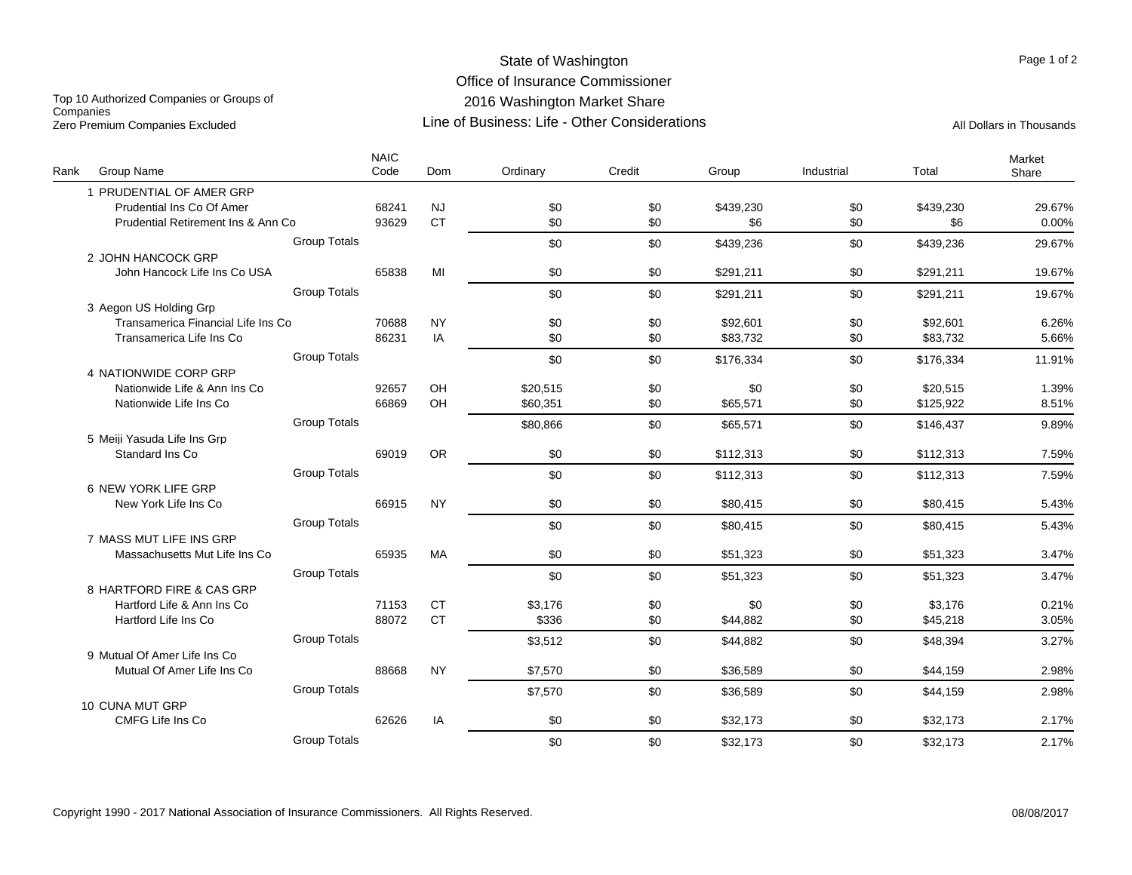# State of Washington Office of Insurance Commissioner 2016 Washington Market Share Line of Business: Life - Other Considerations

Top 10 Authorized Companies or Groups of **Companies** Zero Premium Companies Excluded Companies Excluded Companies Companies Companies Companies All Dollars in Thousands

| Rank | Group Name                         |                     | <b>NAIC</b><br>Code | <b>Dom</b> | Ordinary | Credit | Group     | Industrial | Total     | Market<br>Share |
|------|------------------------------------|---------------------|---------------------|------------|----------|--------|-----------|------------|-----------|-----------------|
|      | 1 PRUDENTIAL OF AMER GRP           |                     |                     |            |          |        |           |            |           |                 |
|      | Prudential Ins Co Of Amer          |                     | 68241               | <b>NJ</b>  | \$0      | \$0    | \$439,230 | \$0        | \$439,230 | 29.67%          |
|      | Prudential Retirement Ins & Ann Co |                     | 93629               | <b>CT</b>  | \$0      | \$0    | \$6       | \$0        | \$6       | 0.00%           |
|      |                                    | <b>Group Totals</b> |                     |            | \$0      | \$0    | \$439,236 | \$0        | \$439,236 | 29.67%          |
|      | 2 JOHN HANCOCK GRP                 |                     |                     |            |          |        |           |            |           |                 |
|      | John Hancock Life Ins Co USA       |                     | 65838               | MI         | \$0      | \$0    | \$291,211 | \$0        | \$291,211 | 19.67%          |
|      |                                    | <b>Group Totals</b> |                     |            | \$0      | \$0    | \$291.211 | \$0        | \$291,211 | 19.67%          |
|      | 3 Aegon US Holding Grp             |                     |                     |            |          |        |           |            |           |                 |
|      | Transamerica Financial Life Ins Co |                     | 70688               | <b>NY</b>  | \$0      | \$0    | \$92,601  | \$0        | \$92,601  | 6.26%           |
|      | Transamerica Life Ins Co           |                     | 86231               | IA         | \$0      | \$0    | \$83,732  | \$0        | \$83,732  | 5.66%           |
|      |                                    | <b>Group Totals</b> |                     |            | \$0      | \$0    | \$176,334 | \$0        | \$176,334 | 11.91%          |
|      | 4 NATIONWIDE CORP GRP              |                     |                     |            |          |        |           |            |           |                 |
|      | Nationwide Life & Ann Ins Co       |                     | 92657               | OH         | \$20,515 | \$0    | \$0       | \$0        | \$20,515  | 1.39%           |
|      | Nationwide Life Ins Co             |                     | 66869               | OH         | \$60,351 | \$0    | \$65,571  | \$0        | \$125,922 | 8.51%           |
|      |                                    | <b>Group Totals</b> |                     |            | \$80,866 | \$0    | \$65,571  | \$0        | \$146,437 | 9.89%           |
|      | 5 Meiji Yasuda Life Ins Grp        |                     |                     |            |          |        |           |            |           |                 |
|      | Standard Ins Co                    |                     | 69019               | <b>OR</b>  | \$0      | \$0    | \$112,313 | \$0        | \$112,313 | 7.59%           |
|      |                                    | <b>Group Totals</b> |                     |            | \$0      | \$0    | \$112,313 | \$0        | \$112,313 | 7.59%           |
|      | 6 NEW YORK LIFE GRP                |                     |                     |            |          |        |           |            |           |                 |
|      | New York Life Ins Co               |                     | 66915               | <b>NY</b>  | \$0      | \$0    | \$80,415  | \$0        | \$80,415  | 5.43%           |
|      |                                    | <b>Group Totals</b> |                     |            | \$0      | \$0    | \$80,415  | \$0        | \$80,415  | 5.43%           |
|      | 7 MASS MUT LIFE INS GRP            |                     |                     |            |          |        |           |            |           |                 |
|      | Massachusetts Mut Life Ins Co      |                     | 65935               | MA         | \$0      | \$0    | \$51,323  | \$0        | \$51,323  | 3.47%           |
|      |                                    | <b>Group Totals</b> |                     |            | \$0      | \$0    | \$51,323  | \$0        | \$51,323  | 3.47%           |
|      | 8 HARTFORD FIRE & CAS GRP          |                     |                     |            |          |        |           |            |           |                 |
|      | Hartford Life & Ann Ins Co         |                     | 71153               | <b>CT</b>  | \$3,176  | \$0    | \$0       | \$0        | \$3,176   | 0.21%           |
|      | Hartford Life Ins Co               |                     | 88072               | <b>CT</b>  | \$336    | \$0    | \$44,882  | \$0        | \$45,218  | 3.05%           |
|      |                                    | <b>Group Totals</b> |                     |            | \$3,512  | \$0    | \$44,882  | \$0        | \$48,394  | 3.27%           |
|      | 9 Mutual Of Amer Life Ins Co       |                     |                     |            |          |        |           |            |           |                 |
|      | Mutual Of Amer Life Ins Co         |                     | 88668               | <b>NY</b>  | \$7,570  | \$0    | \$36,589  | \$0        | \$44,159  | 2.98%           |
|      |                                    | <b>Group Totals</b> |                     |            | \$7,570  | \$0    | \$36,589  | \$0        | \$44,159  | 2.98%           |
|      | 10 CUNA MUT GRP                    |                     |                     |            |          |        |           |            |           |                 |
|      | CMFG Life Ins Co                   |                     | 62626               | IA         | \$0      | \$0    | \$32,173  | \$0        | \$32,173  | 2.17%           |
|      |                                    | <b>Group Totals</b> |                     |            | \$0      | \$0    | \$32,173  | \$0        | \$32,173  | 2.17%           |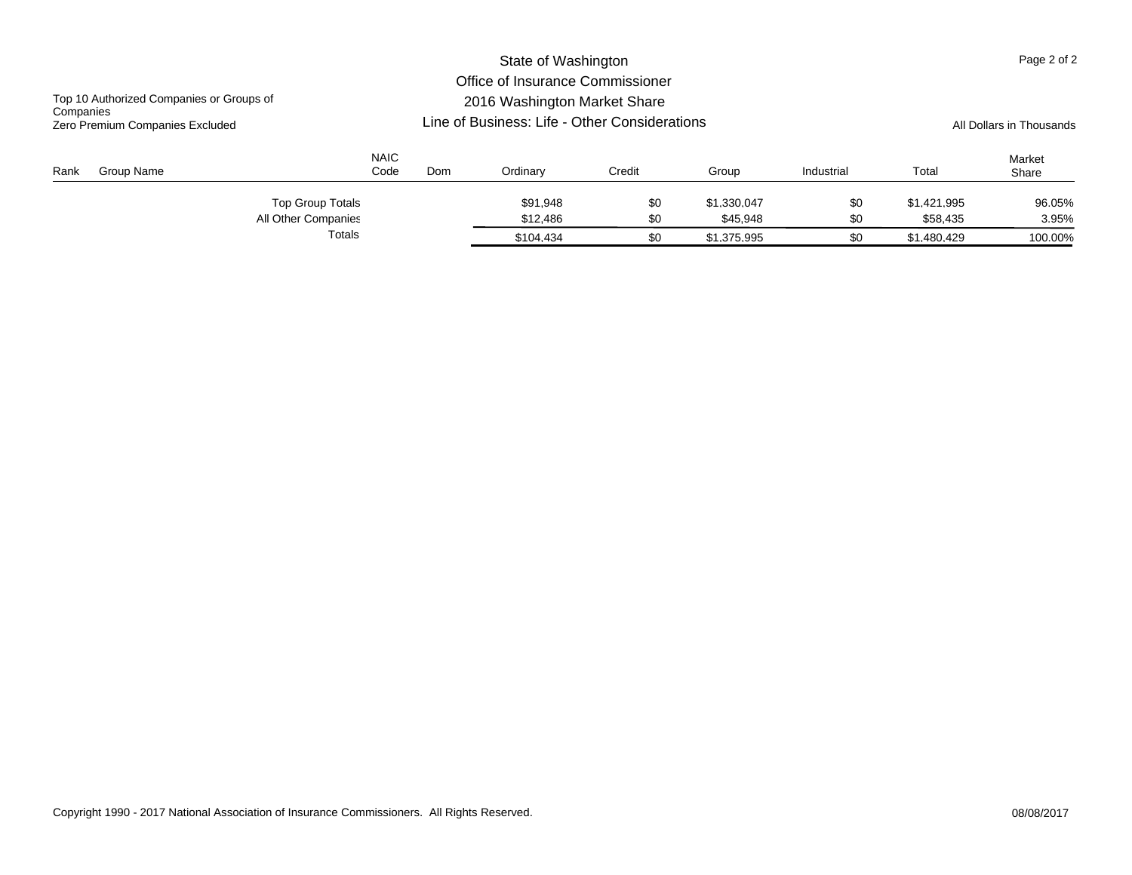|                                              |                     |                                                                  |           | Page 2 of 2 |             |            |             |                 |  |
|----------------------------------------------|---------------------|------------------------------------------------------------------|-----------|-------------|-------------|------------|-------------|-----------------|--|
| Top 10 Authorized Companies or Groups of     |                     | Office of Insurance Commissioner<br>2016 Washington Market Share |           |             |             |            |             |                 |  |
| Companies<br>Zero Premium Companies Excluded |                     | Line of Business: Life - Other Considerations                    |           |             |             |            |             |                 |  |
| Group Name<br>Rank                           | <b>NAIC</b><br>Code | Dom                                                              | Ordinary  | Credit      | Group       | Industrial | Total       | Market<br>Share |  |
|                                              | Top Group Totals    |                                                                  | \$91.948  | \$0         | \$1.330.047 | \$0        | \$1.421.995 | 96.05%          |  |
|                                              | All Other Companies |                                                                  | \$12,486  | \$0         | \$45,948    | \$0        | \$58,435    | 3.95%           |  |
|                                              | Totals              |                                                                  | \$104.434 | \$0         | \$1.375.995 | \$0        | \$1,480,429 | 100.00%         |  |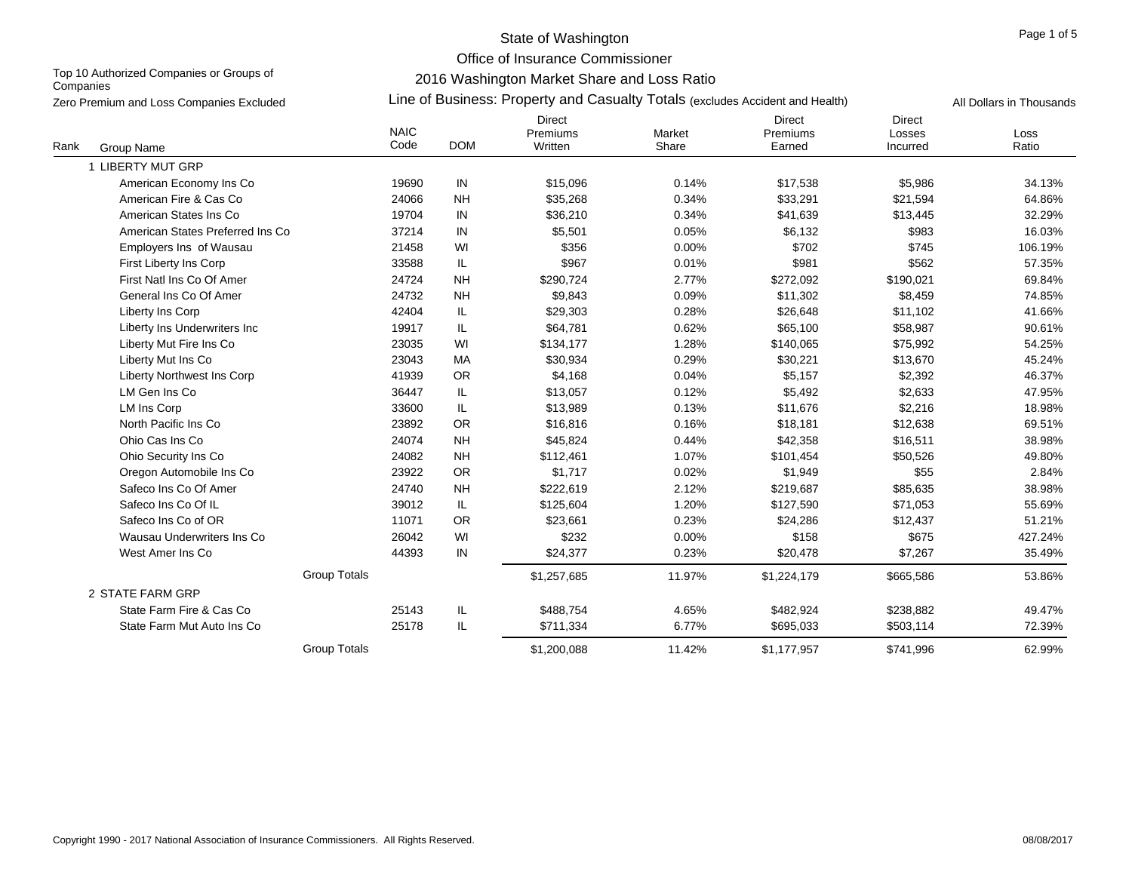Office of Insurance Commissioner

Top 10 Authorized Companies or Groups of **Companies** 

2016 Washington Market Share and Loss Ratio

| Zero Premium and Loss Companies Excluded |                                  | Line of Business: Property and Casualty Totals (excludes Accident and Health) |            | All Dollars in Thousands             |                 |                                     |                                     |               |
|------------------------------------------|----------------------------------|-------------------------------------------------------------------------------|------------|--------------------------------------|-----------------|-------------------------------------|-------------------------------------|---------------|
| Rank<br>Group Name                       |                                  | <b>NAIC</b><br>Code                                                           | <b>DOM</b> | <b>Direct</b><br>Premiums<br>Written | Market<br>Share | <b>Direct</b><br>Premiums<br>Earned | <b>Direct</b><br>Losses<br>Incurred | Loss<br>Ratio |
| 1 LIBERTY MUT GRP                        |                                  |                                                                               |            |                                      |                 |                                     |                                     |               |
| American Economy Ins Co                  |                                  | 19690                                                                         | IN         | \$15,096                             | 0.14%           | \$17,538                            | \$5,986                             | 34.13%        |
| American Fire & Cas Co                   |                                  | 24066                                                                         | <b>NH</b>  | \$35,268                             | 0.34%           | \$33,291                            | \$21,594                            | 64.86%        |
| American States Ins Co                   |                                  | 19704                                                                         | IN         | \$36,210                             | 0.34%           | \$41,639                            | \$13,445                            | 32.29%        |
|                                          | American States Preferred Ins Co | 37214                                                                         | IN         | \$5,501                              | 0.05%           | \$6,132                             | \$983                               | 16.03%        |
| Employers Ins of Wausau                  |                                  | 21458                                                                         | WI         | \$356                                | 0.00%           | \$702                               | \$745                               | 106.19%       |
| First Liberty Ins Corp                   |                                  | 33588                                                                         | IL         | \$967                                | 0.01%           | \$981                               | \$562                               | 57.35%        |
| First Natl Ins Co Of Amer                |                                  | 24724                                                                         | <b>NH</b>  | \$290,724                            | 2.77%           | \$272,092                           | \$190,021                           | 69.84%        |
| General Ins Co Of Amer                   |                                  | 24732                                                                         | <b>NH</b>  | \$9,843                              | 0.09%           | \$11,302                            | \$8,459                             | 74.85%        |
| Liberty Ins Corp                         |                                  | 42404                                                                         | IL         | \$29,303                             | 0.28%           | \$26,648                            | \$11,102                            | 41.66%        |
|                                          | Liberty Ins Underwriters Inc     | 19917                                                                         | IL         | \$64,781                             | 0.62%           | \$65,100                            | \$58,987                            | 90.61%        |
| Liberty Mut Fire Ins Co                  |                                  | 23035                                                                         | WI         | \$134,177                            | 1.28%           | \$140,065                           | \$75,992                            | 54.25%        |
| Liberty Mut Ins Co                       |                                  | 23043                                                                         | MA         | \$30,934                             | 0.29%           | \$30,221                            | \$13,670                            | 45.24%        |
| Liberty Northwest Ins Corp               |                                  | 41939                                                                         | OR         | \$4,168                              | 0.04%           | \$5,157                             | \$2,392                             | 46.37%        |
| LM Gen Ins Co                            |                                  | 36447                                                                         | IL         | \$13,057                             | 0.12%           | \$5,492                             | \$2,633                             | 47.95%        |
| LM Ins Corp                              |                                  | 33600                                                                         | IL         | \$13,989                             | 0.13%           | \$11,676                            | \$2,216                             | 18.98%        |
| North Pacific Ins Co                     |                                  | 23892                                                                         | <b>OR</b>  | \$16,816                             | 0.16%           | \$18,181                            | \$12,638                            | 69.51%        |
| Ohio Cas Ins Co                          |                                  | 24074                                                                         | <b>NH</b>  | \$45,824                             | 0.44%           | \$42,358                            | \$16,511                            | 38.98%        |
| Ohio Security Ins Co                     |                                  | 24082                                                                         | <b>NH</b>  | \$112,461                            | 1.07%           | \$101,454                           | \$50,526                            | 49.80%        |
| Oregon Automobile Ins Co                 |                                  | 23922                                                                         | OR         | \$1,717                              | 0.02%           | \$1,949                             | \$55                                | 2.84%         |
| Safeco Ins Co Of Amer                    |                                  | 24740                                                                         | <b>NH</b>  | \$222,619                            | 2.12%           | \$219,687                           | \$85,635                            | 38.98%        |
| Safeco Ins Co Of IL                      |                                  | 39012                                                                         | IL.        | \$125,604                            | 1.20%           | \$127,590                           | \$71,053                            | 55.69%        |
| Safeco Ins Co of OR                      |                                  | 11071                                                                         | <b>OR</b>  | \$23,661                             | 0.23%           | \$24,286                            | \$12,437                            | 51.21%        |
|                                          | Wausau Underwriters Ins Co       | 26042                                                                         | WI         | \$232                                | 0.00%           | \$158                               | \$675                               | 427.24%       |
| West Amer Ins Co                         |                                  | 44393                                                                         | ${\sf IN}$ | \$24,377                             | 0.23%           | \$20,478                            | \$7,267                             | 35.49%        |
|                                          |                                  | <b>Group Totals</b>                                                           |            | \$1,257,685                          | 11.97%          | \$1,224,179                         | \$665,586                           | 53.86%        |
| 2 STATE FARM GRP                         |                                  |                                                                               |            |                                      |                 |                                     |                                     |               |
| State Farm Fire & Cas Co                 |                                  | 25143                                                                         | IL.        | \$488,754                            | 4.65%           | \$482,924                           | \$238,882                           | 49.47%        |
|                                          | State Farm Mut Auto Ins Co       | 25178                                                                         | IL.        | \$711,334                            | 6.77%           | \$695,033                           | \$503,114                           | 72.39%        |
|                                          |                                  | <b>Group Totals</b>                                                           |            | \$1,200.088                          | 11.42%          | \$1,177,957                         | \$741.996                           | 62.99%        |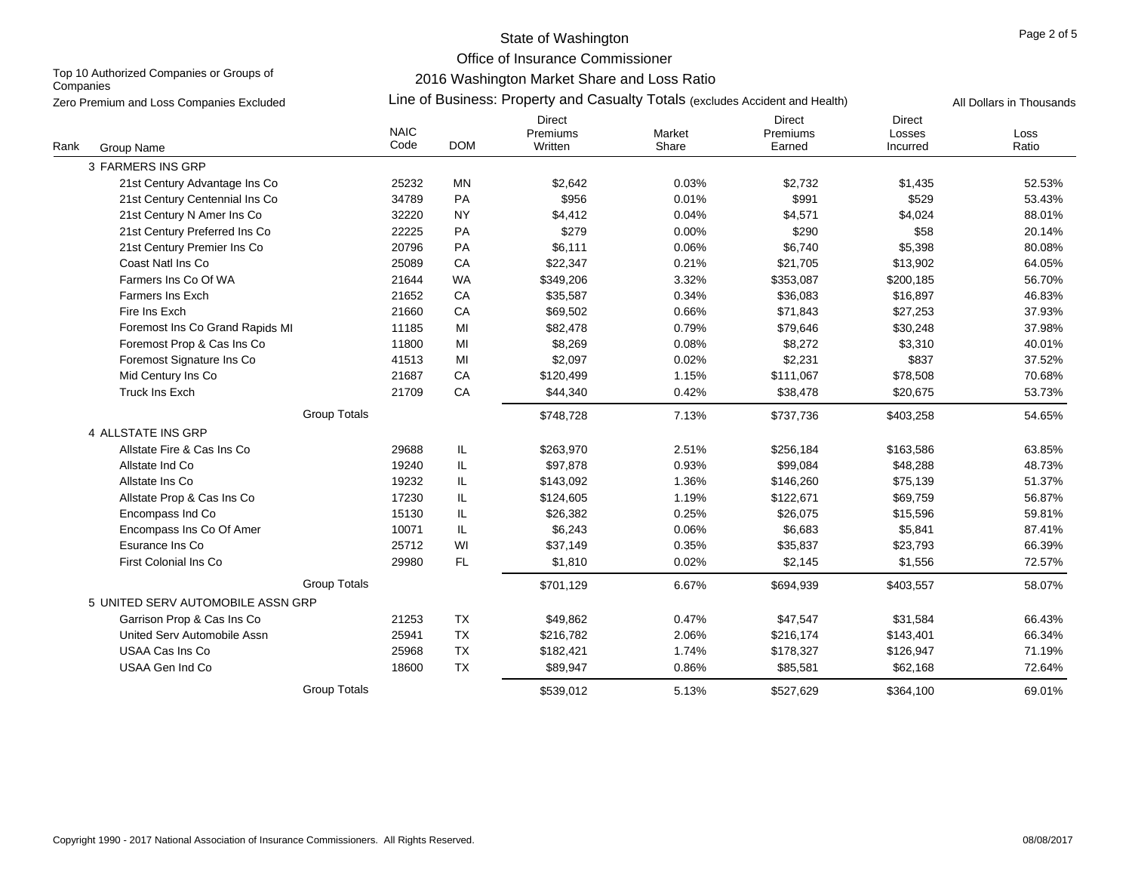Office of Insurance Commissioner

Top 10 Authorized Companies or Groups of **Companies** 

2016 Washington Market Share and Loss Ratio

|      | Zero Premium and Loss Companies Excluded |                     | Line of Business: Property and Casualty Totals (excludes Accident and Health) |                                      |                 |                                     |                                     |               |  |  |  |
|------|------------------------------------------|---------------------|-------------------------------------------------------------------------------|--------------------------------------|-----------------|-------------------------------------|-------------------------------------|---------------|--|--|--|
| Rank | Group Name                               | <b>NAIC</b><br>Code | <b>DOM</b>                                                                    | <b>Direct</b><br>Premiums<br>Written | Market<br>Share | <b>Direct</b><br>Premiums<br>Earned | <b>Direct</b><br>Losses<br>Incurred | Loss<br>Ratio |  |  |  |
|      | 3 FARMERS INS GRP                        |                     |                                                                               |                                      |                 |                                     |                                     |               |  |  |  |
|      | 21st Century Advantage Ins Co            | 25232               | MN                                                                            | \$2,642                              | 0.03%           | \$2,732                             | \$1,435                             | 52.53%        |  |  |  |
|      | 21st Century Centennial Ins Co           | 34789               | PA                                                                            | \$956                                | 0.01%           | \$991                               | \$529                               | 53.43%        |  |  |  |
|      | 21st Century N Amer Ins Co               | 32220               | <b>NY</b>                                                                     | \$4,412                              | 0.04%           | \$4,571                             | \$4,024                             | 88.01%        |  |  |  |
|      | 21st Century Preferred Ins Co            | 22225               | PA                                                                            | \$279                                | 0.00%           | \$290                               | \$58                                | 20.14%        |  |  |  |
|      | 21st Century Premier Ins Co              | 20796               | PA                                                                            | \$6,111                              | 0.06%           | \$6,740                             | \$5,398                             | 80.08%        |  |  |  |
|      | Coast Natl Ins Co                        | 25089               | CA                                                                            | \$22,347                             | 0.21%           | \$21,705                            | \$13,902                            | 64.05%        |  |  |  |
|      | Farmers Ins Co Of WA                     | 21644               | <b>WA</b>                                                                     | \$349,206                            | 3.32%           | \$353,087                           | \$200,185                           | 56.70%        |  |  |  |
|      | <b>Farmers Ins Exch</b>                  | 21652               | CA                                                                            | \$35,587                             | 0.34%           | \$36,083                            | \$16,897                            | 46.83%        |  |  |  |
|      | Fire Ins Exch                            | 21660               | CA                                                                            | \$69,502                             | 0.66%           | \$71,843                            | \$27,253                            | 37.93%        |  |  |  |
|      | Foremost Ins Co Grand Rapids MI          | 11185               | MI                                                                            | \$82,478                             | 0.79%           | \$79,646                            | \$30,248                            | 37.98%        |  |  |  |
|      | Foremost Prop & Cas Ins Co               | 11800               | MI                                                                            | \$8,269                              | 0.08%           | \$8,272                             | \$3,310                             | 40.01%        |  |  |  |
|      | Foremost Signature Ins Co                | 41513               | MI                                                                            | \$2,097                              | 0.02%           | \$2,231                             | \$837                               | 37.52%        |  |  |  |
|      | Mid Century Ins Co                       | 21687               | CA                                                                            | \$120,499                            | 1.15%           | \$111,067                           | \$78,508                            | 70.68%        |  |  |  |
|      | <b>Truck Ins Exch</b>                    | 21709               | CA                                                                            | \$44,340                             | 0.42%           | \$38,478                            | \$20,675                            | 53.73%        |  |  |  |
|      | <b>Group Totals</b>                      |                     |                                                                               | \$748,728                            | 7.13%           | \$737,736                           | \$403,258                           | 54.65%        |  |  |  |
|      | 4 ALLSTATE INS GRP                       |                     |                                                                               |                                      |                 |                                     |                                     |               |  |  |  |
|      | Allstate Fire & Cas Ins Co               | 29688               | IL                                                                            | \$263,970                            | 2.51%           | \$256,184                           | \$163,586                           | 63.85%        |  |  |  |
|      | Allstate Ind Co                          | 19240               | IL                                                                            | \$97,878                             | 0.93%           | \$99,084                            | \$48,288                            | 48.73%        |  |  |  |
|      | Allstate Ins Co                          | 19232               | IL                                                                            | \$143,092                            | 1.36%           | \$146,260                           | \$75,139                            | 51.37%        |  |  |  |
|      | Allstate Prop & Cas Ins Co               | 17230               | IL.                                                                           | \$124,605                            | 1.19%           | \$122,671                           | \$69,759                            | 56.87%        |  |  |  |
|      | Encompass Ind Co                         | 15130               | IL.                                                                           | \$26,382                             | 0.25%           | \$26,075                            | \$15,596                            | 59.81%        |  |  |  |
|      | Encompass Ins Co Of Amer                 | 10071               | IL.                                                                           | \$6,243                              | 0.06%           | \$6,683                             | \$5,841                             | 87.41%        |  |  |  |
|      | Esurance Ins Co                          | 25712               | WI                                                                            | \$37,149                             | 0.35%           | \$35,837                            | \$23,793                            | 66.39%        |  |  |  |
|      | <b>First Colonial Ins Co</b>             | 29980               | FL                                                                            | \$1,810                              | 0.02%           | \$2,145                             | \$1,556                             | 72.57%        |  |  |  |
|      | <b>Group Totals</b>                      |                     |                                                                               | \$701,129                            | 6.67%           | \$694,939                           | \$403,557                           | 58.07%        |  |  |  |
|      | 5 UNITED SERV AUTOMOBILE ASSN GRP        |                     |                                                                               |                                      |                 |                                     |                                     |               |  |  |  |
|      | Garrison Prop & Cas Ins Co               | 21253               | <b>TX</b>                                                                     | \$49,862                             | 0.47%           | \$47,547                            | \$31,584                            | 66.43%        |  |  |  |
|      | United Serv Automobile Assn              | 25941               | TX                                                                            | \$216,782                            | 2.06%           | \$216,174                           | \$143,401                           | 66.34%        |  |  |  |
|      | USAA Cas Ins Co                          | 25968               | <b>TX</b>                                                                     | \$182,421                            | 1.74%           | \$178,327                           | \$126,947                           | 71.19%        |  |  |  |
|      | USAA Gen Ind Co                          | 18600               | TX                                                                            | \$89,947                             | 0.86%           | \$85,581                            | \$62,168                            | 72.64%        |  |  |  |
|      | <b>Group Totals</b>                      |                     |                                                                               | \$539,012                            | 5.13%           | \$527,629                           | \$364,100                           | 69.01%        |  |  |  |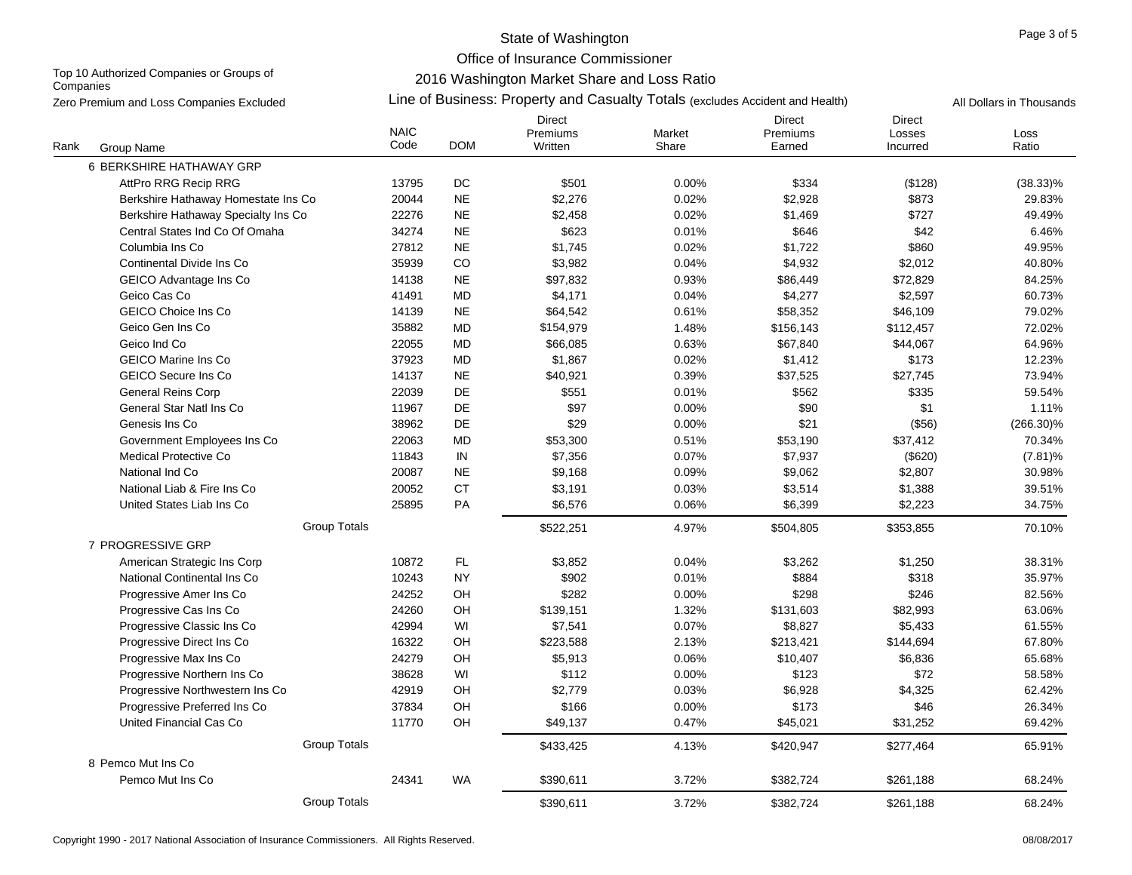Office of Insurance Commissioner

Top 10 Authorized Companies or Groups of **Companies** 

2016 Washington Market Share and Loss Ratio

Zero Premium and Loss Companies Excluded **All Propectic Connect All Dollars in Thousands** (Zine of Business: Property and Casualty Totals (excludes Accident and Health) All Dollars in Thousands

|      |                                     | <b>NAIC</b> |               | <b>Direct</b><br>Premiums | Market | <b>Direct</b><br>Premiums | <b>Direct</b><br>Losses | Loss         |
|------|-------------------------------------|-------------|---------------|---------------------------|--------|---------------------------|-------------------------|--------------|
| Rank | Group Name                          | Code        | <b>DOM</b>    | Written                   | Share  | Earned                    | Incurred                | Ratio        |
|      | 6 BERKSHIRE HATHAWAY GRP            |             |               |                           |        |                           |                         |              |
|      | AttPro RRG Recip RRG                | 13795       | $\mathsf{DC}$ | \$501                     | 0.00%  | \$334                     | (\$128)                 | $(38.33)\%$  |
|      | Berkshire Hathaway Homestate Ins Co | 20044       | <b>NE</b>     | \$2,276                   | 0.02%  | \$2,928                   | \$873                   | 29.83%       |
|      | Berkshire Hathaway Specialty Ins Co | 22276       | $N\mathsf{E}$ | \$2,458                   | 0.02%  | \$1,469                   | \$727                   | 49.49%       |
|      | Central States Ind Co Of Omaha      | 34274       | <b>NE</b>     | \$623                     | 0.01%  | \$646                     | \$42                    | 6.46%        |
|      | Columbia Ins Co                     | 27812       | <b>NE</b>     | \$1,745                   | 0.02%  | \$1,722                   | \$860                   | 49.95%       |
|      | Continental Divide Ins Co           | 35939       | CO            | \$3,982                   | 0.04%  | \$4,932                   | \$2,012                 | 40.80%       |
|      | GEICO Advantage Ins Co              | 14138       | $N\mathsf{E}$ | \$97,832                  | 0.93%  | \$86,449                  | \$72,829                | 84.25%       |
|      | Geico Cas Co                        | 41491       | <b>MD</b>     | \$4,171                   | 0.04%  | \$4,277                   | \$2,597                 | 60.73%       |
|      | <b>GEICO Choice Ins Co</b>          | 14139       | <b>NE</b>     | \$64,542                  | 0.61%  | \$58,352                  | \$46,109                | 79.02%       |
|      | Geico Gen Ins Co                    | 35882       | <b>MD</b>     | \$154,979                 | 1.48%  | \$156,143                 | \$112,457               | 72.02%       |
|      | Geico Ind Co                        | 22055       | MD            | \$66,085                  | 0.63%  | \$67,840                  | \$44,067                | 64.96%       |
|      | <b>GEICO Marine Ins Co</b>          | 37923       | <b>MD</b>     | \$1.867                   | 0.02%  | \$1,412                   | \$173                   | 12.23%       |
|      | GEICO Secure Ins Co                 | 14137       | <b>NE</b>     | \$40,921                  | 0.39%  | \$37,525                  | \$27,745                | 73.94%       |
|      | General Reins Corp                  | 22039       | DE            | \$551                     | 0.01%  | \$562                     | \$335                   | 59.54%       |
|      | General Star Natl Ins Co            | 11967       | DE            | \$97                      | 0.00%  | \$90                      | \$1                     | 1.11%        |
|      | Genesis Ins Co                      | 38962       | DE            | \$29                      | 0.00%  | \$21                      | (\$56)                  | $(266.30)\%$ |
|      | Government Employees Ins Co         | 22063       | <b>MD</b>     | \$53,300                  | 0.51%  | \$53,190                  | \$37,412                | 70.34%       |
|      | <b>Medical Protective Co</b>        | 11843       | IN            | \$7,356                   | 0.07%  | \$7,937                   | (\$620)                 | $(7.81)\%$   |
|      | National Ind Co                     | 20087       | <b>NE</b>     | \$9,168                   | 0.09%  | \$9,062                   | \$2,807                 | 30.98%       |
|      | National Liab & Fire Ins Co.        | 20052       | <b>CT</b>     | \$3,191                   | 0.03%  | \$3,514                   | \$1,388                 | 39.51%       |
|      | United States Liab Ins Co           | 25895       | PA            | \$6,576                   | 0.06%  | \$6,399                   | \$2,223                 | 34.75%       |
|      | <b>Group Totals</b>                 |             |               | \$522,251                 | 4.97%  | \$504,805                 | \$353,855               | 70.10%       |
|      | 7 PROGRESSIVE GRP                   |             |               |                           |        |                           |                         |              |
|      | American Strategic Ins Corp         | 10872       | $\mathsf{FL}$ | \$3,852                   | 0.04%  | \$3,262                   | \$1,250                 | 38.31%       |
|      | National Continental Ins Co         | 10243       | <b>NY</b>     | \$902                     | 0.01%  | \$884                     | \$318                   | 35.97%       |
|      | Progressive Amer Ins Co             | 24252       | OH            | \$282                     | 0.00%  | \$298                     | \$246                   | 82.56%       |
|      | Progressive Cas Ins Co              | 24260       | OH            | \$139,151                 | 1.32%  | \$131,603                 | \$82,993                | 63.06%       |
|      | Progressive Classic Ins Co          | 42994       | WI            | \$7,541                   | 0.07%  | \$8,827                   | \$5,433                 | 61.55%       |
|      | Progressive Direct Ins Co           | 16322       | OH            | \$223,588                 | 2.13%  | \$213,421                 | \$144,694               | 67.80%       |
|      | Progressive Max Ins Co              | 24279       | OH            | \$5,913                   | 0.06%  | \$10,407                  | \$6,836                 | 65.68%       |
|      | Progressive Northern Ins Co         | 38628       | WI            | \$112                     | 0.00%  | \$123                     | \$72                    | 58.58%       |
|      | Progressive Northwestern Ins Co     | 42919       | OH            | \$2,779                   | 0.03%  | \$6,928                   | \$4,325                 | 62.42%       |
|      | Progressive Preferred Ins Co        | 37834       | OH            | \$166                     | 0.00%  | \$173                     | \$46                    | 26.34%       |
|      | United Financial Cas Co             | 11770       | OH            | \$49,137                  | 0.47%  | \$45,021                  | \$31,252                | 69.42%       |
|      | <b>Group Totals</b>                 |             |               | \$433,425                 | 4.13%  | \$420,947                 | \$277,464               | 65.91%       |
|      | 8 Pemco Mut Ins Co                  |             |               |                           |        |                           |                         |              |
|      | Pemco Mut Ins Co                    | 24341       | <b>WA</b>     | \$390,611                 | 3.72%  | \$382,724                 | \$261,188               | 68.24%       |
|      | <b>Group Totals</b>                 |             |               | \$390,611                 | 3.72%  | \$382,724                 | \$261,188               | 68.24%       |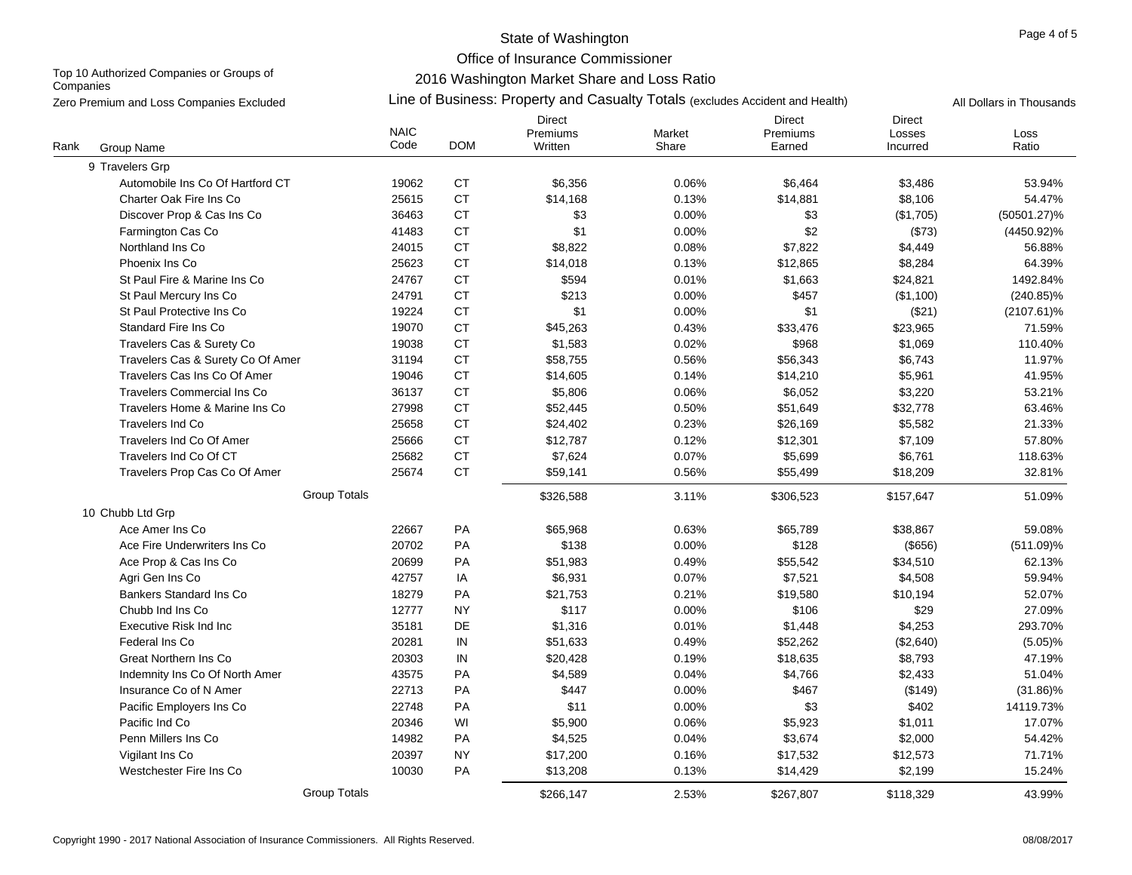Office of Insurance Commissioner

Top 10 Authorized Companies or Groups of **Companies** 

# 2016 Washington Market Share and Loss Ratio

Group Name NAIC CodeDirectPremiums**Written** MarketShareDirectPremiumsEarnedDirectLossesIncurredLossRankk Group Name was the second to the Code DOM written the Share the Earned throurred the Ratio Zero Premium and Loss Companies Excluded **All Propectic Connect All Dollars in Thousands** (Zine of Business: Property and Casualty Totals (excludes Accident and Health) All Dollars in Thousands 9 Travelers Grp Automobile Ins Co Of Hartford CT **19062** CT \$6.356 0.06% \$6,464 \$3,486 \$3,486 53.94% Charter Oak Fire Ins Co **25615** CT \$14,168 0.13% \$14,881 \$8,106 54.47% Discover Prop & Cas Ins Co **36463** CT 53 0.00% \$3 (\$1,705) (50501.27)% Farmington Cas Co 41483 CT \$1 0.00% \$2 (\$73) (4450.92)% Northland Ins Co 24015 CT \$8,822 0.08% \$7,822 \$4,449 56.88% Phoenix Ins Co 25623 CT \$14,018 0.13% \$12,865 \$8,284 64.39% St Paul Fire & Marine Ins Co 24767 CT \$594 0.01% \$1,663 \$24,821 1492.84% St Paul Mercury Ins Co **24791** CT \$213 0.00% \$457 (\$1,100) (240.85)% St Paul Protective Ins Co **19224** CT \$1 0.00% \$1 (\$21) (\$21) (2107.61)% Standard Fire Ins Co 19070 CT \$45,263 0.43% \$33,476 \$23,965 71.59% Travelers Cas & Surety Co **19038** CT \$1,583 0.02% \$968 \$1,069 \$1,069 110.40% Travelers Cas & Surety Co Of Amer  $31194$  CT  $358.755$   $0.56\%$   $36.343$   $36.743$   $36.743$  11.97% Travelers Cas Ins Co Of Amerr 19046 CT \$14,605 0.14% \$14,210 \$5,961 41.95% Travelers Commercial Ins Co **36137** CT \$5.806 0.06% \$6.052 \$3.220 \$3.220 53.21% Travelers Home & Marine Ins Co 27998 CT \$52,445 0.50% \$51,649 \$32,778 63.46% Travelers Ind Co 25658 CT \$24,402 0.23% \$26,169 \$5,582 21.33% Travelers Ind Co Of Amer 25666 CT \$12,787 0.12% \$12,301 \$7,109 57.80% Travelers Ind Co Of CT 25682 **CT**  \$7,624 0.07% \$5,699 \$6,761 118.63% Travelers Prop Cas Co Of Amer 25674 CT \$59,141 0.56% \$55,499 \$18,209 \$18,209 32.81% Group Totals \$326,588 3.11% \$306,523 \$157,647 51.09% 10 Chubb Ltd Grp Ace Amer Ins Co 22667 PA \$65,968 0.63% \$65,789 \$38,867 59.08% Ace Fire Underwriters Ins Co **20702** PA \$138 0.00% \$128 (\$656) (511.09)% Ace Prop & Cas Ins Co **Cas Co 2069 120699** PA  $$51,983$  0.49%  $$55,542$  \$34,510 62.13% Agri Gen Ins Co 42757 IA \$6,931 0.07% \$7,521 \$4,508 59.94% Bankers Standard Ins Co 18279 PA \$21,753 0.21% \$19,580 \$10,194 52.07% Chubb Ind Ins Co 12777 NY \$117 0.00% \$106 \$29 27.09% Executive Risk Ind Inc 35181 DE \$1,316 0.01% \$1,448 \$4,253 293.70% Federal Ins Co 20281 IN \$51,633 0.49% \$52,262 (\$2,640) (5.05)% Great Northern Ins Co 20303 IN \$20,428 0.19% \$18,635 \$8,793 47.19% Indemnity Ins Co Of North Amer **43575** PA \$4,589 0.04% \$4,766 \$2,433 51.04% 51.04% lnsurance Co of N Amer 22713 PA \$447 0.00% \$467 (\$149) (31.86)% Pacific Employers Ins Co **22748** PA 511 0.00% \$3 \$402 14119.73% Pacific Ind Co 20346 \$5 WI ,900 0.06% \$5,923 \$1,011 17.07% Penn Millers Ins Co 14982 PA \$4,525 0.04% \$3,674 \$2,000 54.42% Vigilant Ins Co 20397 NY \$17,200 0.16% \$17,532 \$12,573 71.71% Westchester Fire Ins Co 10030 PA \$13,208 0.13% \$14,429 \$2,199 15.24% Group Totals \$266,147 2.53% \$267,807 \$118,329 43.99%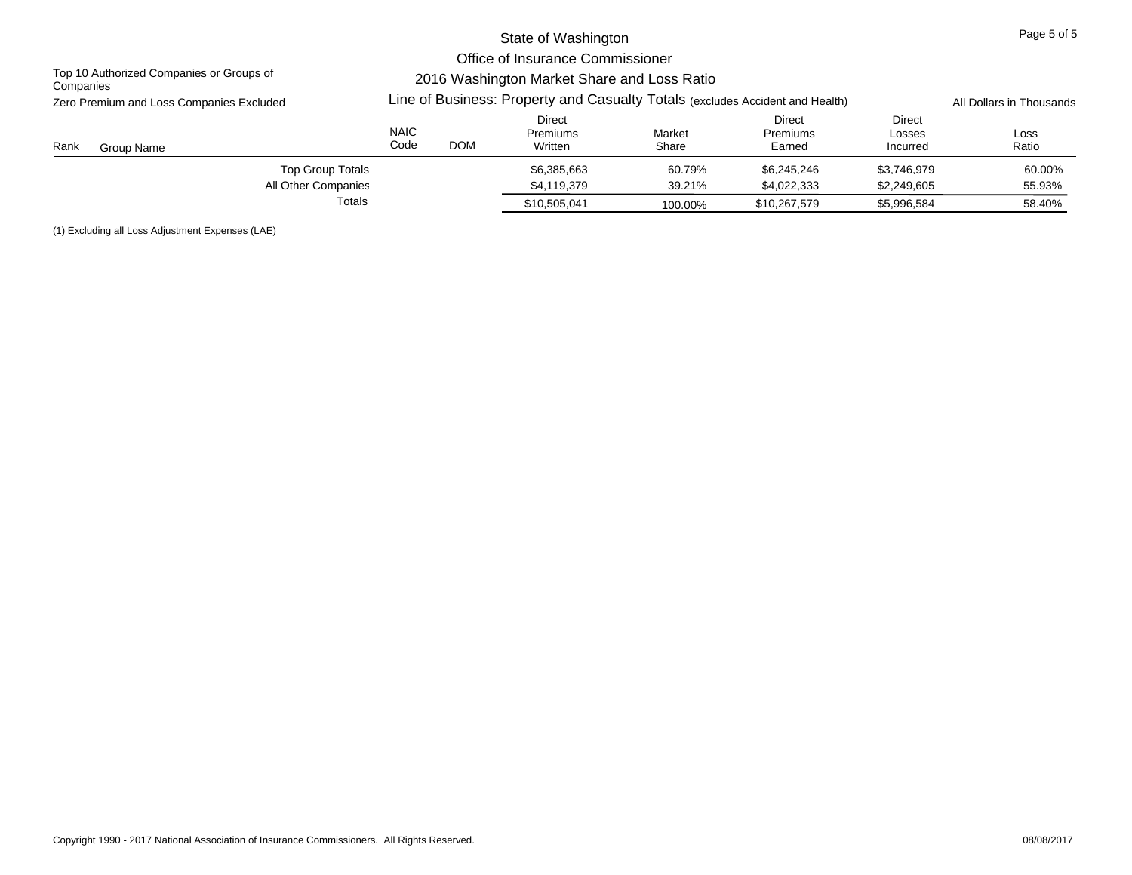|                                                       |                                                                               |            | State of Washington                                                             |                 |                              |                              | Page 5 of 5   |
|-------------------------------------------------------|-------------------------------------------------------------------------------|------------|---------------------------------------------------------------------------------|-----------------|------------------------------|------------------------------|---------------|
| Top 10 Authorized Companies or Groups of<br>Companies |                                                                               |            | Office of Insurance Commissioner<br>2016 Washington Market Share and Loss Ratio |                 |                              |                              |               |
| Zero Premium and Loss Companies Excluded              | Line of Business: Property and Casualty Totals (excludes Accident and Health) |            | All Dollars in Thousands                                                        |                 |                              |                              |               |
| Rank<br>Group Name                                    | <b>NAIC</b><br>Code                                                           | <b>DOM</b> | Direct<br><b>Premiums</b><br>Written                                            | Market<br>Share | Direct<br>Premiums<br>Earned | Direct<br>Losses<br>Incurred | Loss<br>Ratio |
| <b>Top Group Totals</b>                               |                                                                               |            | \$6.385.663                                                                     | 60.79%          | \$6.245.246                  | \$3.746.979                  | 60.00%        |
| All Other Companies                                   |                                                                               |            | \$4,119,379                                                                     | 39.21%          | \$4,022,333                  | \$2,249,605                  | 55.93%        |
| Totals                                                |                                                                               |            | \$10,505,041                                                                    | 100.00%         | \$10,267,579                 | \$5,996,584                  | 58.40%        |

(1) Excluding all Loss Adjustment Expenses (LAE)